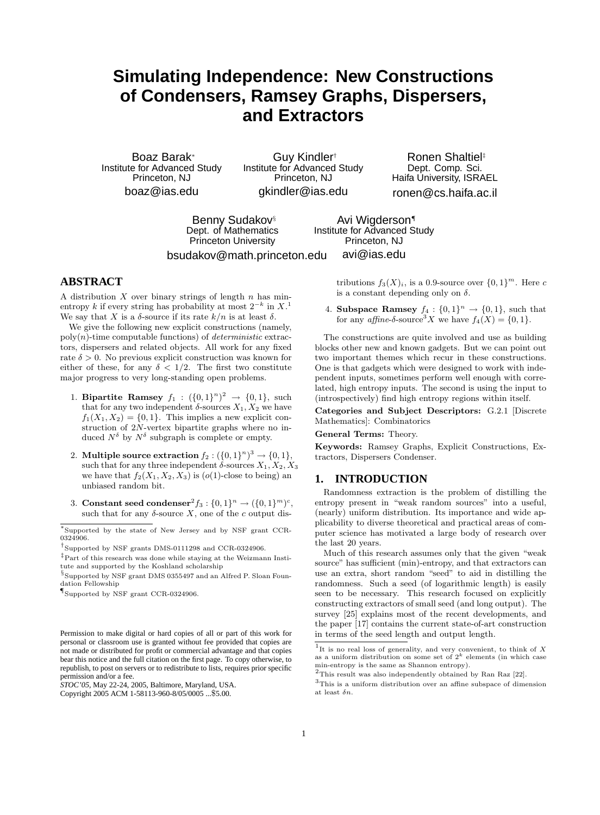# **Simulating Independence: New Constructions of Condensers, Ramsey Graphs, Dispersers, and Extractors**

Boaz Barak<sup>∗</sup> Institute for Advanced Study Princeton, NJ boaz@ias.edu

Guy Kindler† Institute for Advanced Study Princeton, NJ gkindler@ias.edu

Ronen Shaltiel‡ Dept. Comp. Sci. Haifa University, ISRAEL ronen@cs.haifa.ac.il

Benny Sudakov§ Dept. of Mathematics Princeton University

bsudakov@math.princeton.edu

avi@ias.edu

Avi Wigderson¶ Institute for Advanced Study Princeton, NJ

## **ABSTRACT**

A distribution  $X$  over binary strings of length  $n$  has minentropy k if every string has probability at most  $2^{-k}$  in  $X$ <sup>1</sup> We say that X is a  $\delta$ -source if its rate  $k/n$  is at least  $\delta$ .

We give the following new explicit constructions (namely,  $poly(n)$ -time computable functions) of *deterministic* extractors, dispersers and related objects. All work for any fixed rate  $\delta > 0$ . No previous explicit construction was known for either of these, for any  $\delta < 1/2$ . The first two constitute major progress to very long-standing open problems.

- 1. Bipartite Ramsey  $f_1: (\{0,1\}^n)^2 \to \{0,1\}$ , such that for any two independent  $\delta$ -sources  $X_1, X_2$  we have  $f_1(X_1, X_2) = \{0, 1\}$ . This implies a new explicit construction of 2N-vertex bipartite graphs where no induced  $N^{\delta}$  by  $N^{\delta}$  subgraph is complete or empty.
- 2. Multiple source extraction  $f_2: (\{0,1\}^n)^3 \to \{0,1\},\$ such that for any three independent  $\delta$ -sources  $X_1, X_2, X_3$ we have that  $f_2(X_1, X_2, X_3)$  is  $(o(1)$ -close to being) an unbiased random bit.
- 3. Constant seed condenser<sup>2</sup> $f_3: \{0,1\}^n \to (\{0,1\}^m)^c$ , such that for any  $\delta$ -source X, one of the c output dis-

tributions  $f_3(X)_i$ , is a 0.9-source over  $\{0,1\}^m$ . Here c is a constant depending only on  $\delta$ .

4. Subspace Ramsey  $f_4: \{0,1\}^n \rightarrow \{0,1\}$ , such that for any *affine*- $\delta$ -source<sup>3</sup>X we have  $f_4(X) = \{0, 1\}.$ 

The constructions are quite involved and use as building blocks other new and known gadgets. But we can point out two important themes which recur in these constructions. One is that gadgets which were designed to work with independent inputs, sometimes perform well enough with correlated, high entropy inputs. The second is using the input to (introspectively) find high entropy regions within itself.

Categories and Subject Descriptors: G.2.1 [Discrete Mathematics]: Combinatorics

General Terms: Theory.

Keywords: Ramsey Graphs, Explicit Constructions, Extractors, Dispersers Condenser.

#### **1. INTRODUCTION**

Randomness extraction is the problem of distilling the entropy present in "weak random sources" into a useful, (nearly) uniform distribution. Its importance and wide applicability to diverse theoretical and practical areas of computer science has motivated a large body of research over the last 20 years.

Much of this research assumes only that the given "weak source" has sufficient (min)-entropy, and that extractors can use an extra, short random "seed" to aid in distilling the randomness. Such a seed (of logarithmic length) is easily seen to be necessary. This research focused on explicitly constructing extractors of small seed (and long output). The survey [25] explains most of the recent developments, and the paper [17] contains the current state-of-art construction in terms of the seed length and output length.

<sup>∗</sup> Supported by the state of New Jersey and by NSF grant CCR-0324906.

<sup>†</sup> Supported by NSF grants DMS-0111298 and CCR-0324906.

<sup>‡</sup>Part of this research was done while staying at the Weizmann Institute and supported by the Koshland scholarship

<sup>§</sup> Supported by NSF grant DMS 0355497 and an Alfred P. Sloan Foundation Fellowship

<sup>¶</sup> Supported by NSF grant CCR-0324906.

Permission to make digital or hard copies of all or part of this work for personal or classroom use is granted without fee provided that copies are not made or distributed for profit or commercial advantage and that copies bear this notice and the full citation on the first page. To copy otherwise, to republish, to post on servers or to redistribute to lists, requires prior specific permission and/or a fee.

*STOC'05,* May 22-24, 2005, Baltimore, Maryland, USA.

Copyright 2005 ACM 1-58113-960-8/05/0005 ...\$5.00.

<sup>&</sup>lt;sup>1</sup>It is no real loss of generality, and very convenient, to think of X as a uniform distribution on some set of  $2^k$  elements (in which case min-entropy is the same as Shannon entropy).

 $^2 \mathrm{This}$  result was also independently obtained by Ran Raz [22].

 $3$ This is a uniform distribution over an affine subspace of dimension at least  $\delta n$ .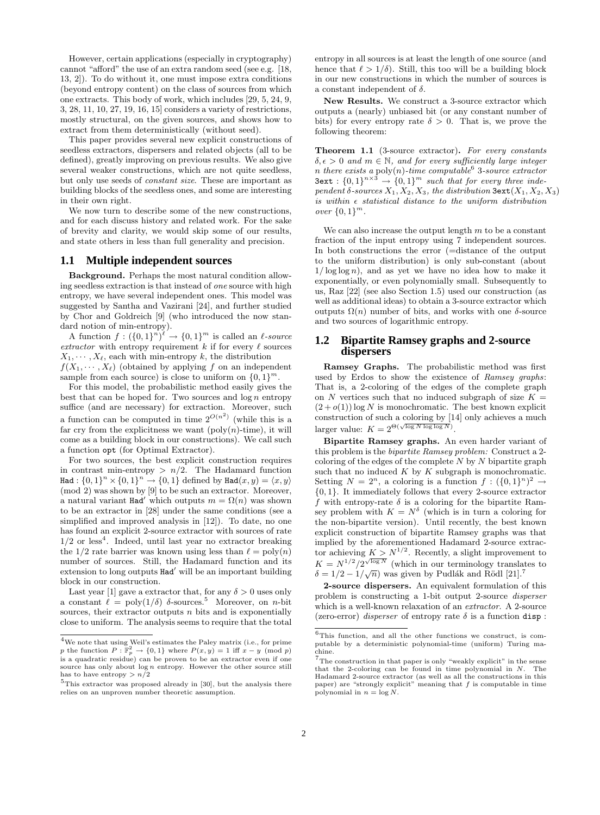However, certain applications (especially in cryptography) cannot "afford" the use of an extra random seed (see e.g. [18, 13, 2]). To do without it, one must impose extra conditions (beyond entropy content) on the class of sources from which one extracts. This body of work, which includes [29, 5, 24, 9, 3, 28, 11, 10, 27, 19, 16, 15] considers a variety of restrictions, mostly structural, on the given sources, and shows how to extract from them deterministically (without seed).

This paper provides several new explicit constructions of seedless extractors, dispersers and related objects (all to be defined), greatly improving on previous results. We also give several weaker constructions, which are not quite seedless, but only use seeds of constant size. These are important as building blocks of the seedless ones, and some are interesting in their own right.

We now turn to describe some of the new constructions, and for each discuss history and related work. For the sake of brevity and clarity, we would skip some of our results, and state others in less than full generality and precision.

#### **1.1 Multiple independent sources**

Background. Perhaps the most natural condition allowing seedless extraction is that instead of one source with high entropy, we have several independent ones. This model was suggested by Santha and Vazirani [24], and further studied by Chor and Goldreich [9] (who introduced the now standard notion of min-entropy).

A function  $f: (\{0,1\}^n)^{\ell} \to \{0,1\}^m$  is called an  $\ell$ -source extractor with entropy requirement  $k$  if for every  $\ell$  sources  $X_1, \cdots, X_\ell$ , each with min-entropy k, the distribution  $f(X_1, \dots, X_\ell)$  (obtained by applying f on an independent sample from each source) is close to uniform on  $\{0,1\}^m$ .

For this model, the probabilistic method easily gives the best that can be hoped for. Two sources and  $\log n$  entropy suffice (and are necessary) for extraction. Moreover, such a function can be computed in time  $2^{O(n^2)}$  (while this is a far cry from the explicitness we want  $(poly(n)\text{-time})$ , it will come as a building block in our constructions). We call such a function opt (for Optimal Extractor).

For two sources, the best explicit construction requires in contrast min-entropy  $> n/2$ . The Hadamard function Had :  $\{0,1\}^n \times \{0,1\}^n \rightarrow \{0,1\}$  defined by  $\texttt{Had}(x,y) = \langle x, y \rangle$ (mod 2) was shown by [9] to be such an extractor. Moreover, a natural variant Had' which outputs  $m = \Omega(n)$  was shown to be an extractor in [28] under the same conditions (see a simplified and improved analysis in [12]). To date, no one has found an explicit 2-source extractor with sources of rate  $1/2$  or less<sup>4</sup>. Indeed, until last year no extractor breaking the 1/2 rate barrier was known using less than  $\ell = \text{poly}(n)$ number of sources. Still, the Hadamard function and its extension to long outputs  $Had'$  will be an important building block in our construction.

Last year [1] gave a extractor that, for any  $\delta > 0$  uses only a constant  $\ell = \text{poly}(1/\delta)$  δ-sources.<sup>5</sup> Moreover, on *n*-bit sources, their extractor outputs  $n$  bits and is exponentially close to uniform. The analysis seems to require that the total entropy in all sources is at least the length of one source (and hence that  $\ell > 1/\delta$ . Still, this too will be a building block in our new constructions in which the number of sources is a constant independent of  $\delta$ .

New Results. We construct a 3-source extractor which outputs a (nearly) unbiased bit (or any constant number of bits) for every entropy rate  $\delta > 0$ . That is, we prove the following theorem:

Theorem 1.1 (3-source extractor). For every constants  $\delta, \epsilon > 0$  and  $m \in \mathbb{N}$ , and for every sufficiently large integer n there exists a poly $(n)$ -time computable 3-source extractor  $3$ ext :  $\{0,1\}^{n \times 3} \rightarrow \{0,1\}^m$  such that for every three independent  $\delta$ -sources  $X_1, X_2, X_3$ , the distribution  $3$ ext $(X_1, X_2, X_3)$ is within  $\epsilon$  statistical distance to the uniform distribution *over*  $\{0, 1\}^m$ .

We can also increase the output length  $m$  to be a constant fraction of the input entropy using 7 independent sources. In both constructions the error (=distance of the output to the uniform distribution) is only sub-constant (about  $1/\log \log n$ , and as yet we have no idea how to make it exponentially, or even polynomially small. Subsequently to us, Raz [22] (see also Section 1.5) used our construction (as well as additional ideas) to obtain a 3-source extractor which outputs  $\Omega(n)$  number of bits, and works with one δ-source and two sources of logarithmic entropy.

#### **1.2 Bipartite Ramsey graphs and 2-source dispersers**

Ramsey Graphs. The probabilistic method was first used by Erdos to show the existence of Ramsey graphs: That is, a 2-coloring of the edges of the complete graph on N vertices such that no induced subgraph of size  $K =$  $(2+o(1))$  log N is monochromatic. The best known explicit construction of such a coloring by [14] only achieves a much larger value:  $K = 2^{\Theta(\sqrt{\log N \log \log N})}$ .

Bipartite Ramsey graphs. An even harder variant of this problem is the bipartite Ramsey problem: Construct a 2 coloring of the edges of the complete  $N$  by  $N$  bipartite graph such that no induced  $K$  by  $K$  subgraph is monochromatic. Setting  $N = 2^n$ , a coloring is a function  $f : (\{0,1\}^n)^2 \rightarrow$ {0, 1}. It immediately follows that every 2-source extractor f with entropy-rate  $\delta$  is a coloring for the bipartite Ramsey problem with  $K = N^{\delta}$  (which is in turn a coloring for the non-bipartite version). Until recently, the best known explicit construction of bipartite Ramsey graphs was that implied by the aforementioned Hadamard 2-source extractor achieving  $K > N^{1/2}$ . Recently, a slight improvement to  $K = N^{1/2} / 2^{\sqrt{\log N}}$  (which in our terminology translates to  $\delta = 1/2 - 1/\sqrt{n}$  was given by Pudlák and Rödl [21].<sup>7</sup>

2-source dispersers. An equivalent formulation of this problem is constructing a 1-bit output 2-source disperser which is a well-known relaxation of an *extractor*. A 2-source (zero-error) *disperser* of entropy rate  $\delta$  is a function disp:

<sup>&</sup>lt;sup>4</sup>We note that using Weil's estimates the Paley matrix (i.e., for prime  $p$  the function  $P : \mathbb{F}_p^2 \to \{0,1\}$  where  $P(x, y) = 1$  iff  $x - y \pmod{p}$ is a quadratic residue) can be proven to be an extractor even if one source has only about  $log n$  entropy. However the other source still has to have entropy  $> n/2$ 

 $5$ This extractor was proposed already in [30], but the analysis there relies on an unproven number theoretic assumption.

 ${}^{6}$ This function, and all the other functions we construct, is computable by a deterministic polynomial-time (uniform) Turing machine.

 $7$ The construction in that paper is only "weakly explicit" in the sense that the 2-coloring can be found in time polynomial in  $N$ . The Hadamard 2-source extractor (as well as all the constructions in this paper) are "strongly explicit" meaning that f is computable in time polynomial in  $n = \log N$ .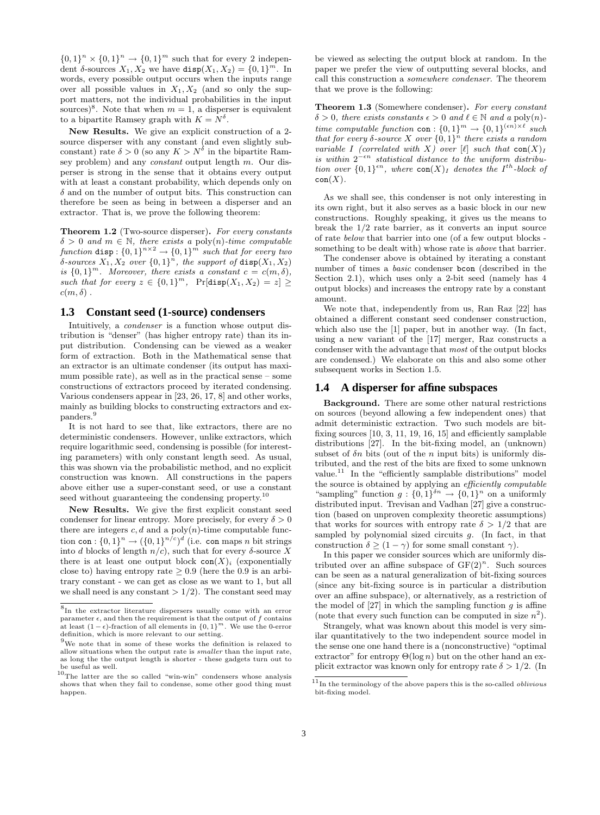$\{0,1\}^n \times \{0,1\}^n \to \{0,1\}^m$  such that for every 2 independent  $\delta$ -sources  $X_1, X_2$  we have  $\text{disp}(X_1, X_2) = \{0, 1\}^m$ . In words, every possible output occurs when the inputs range over all possible values in  $X_1, X_2$  (and so only the support matters, not the individual probabilities in the input sources)<sup>8</sup>. Note that when  $m = 1$ , a disperser is equivalent to a bipartite Ramsey graph with  $K = N^{\delta}$ .

New Results. We give an explicit construction of a 2 source disperser with any constant (and even slightly subconstant) rate  $\delta > 0$  (so any  $K > N^{\delta}$  in the bipartite Ramsey problem) and any *constant* output length  $m$ . Our disperser is strong in the sense that it obtains every output with at least a constant probability, which depends only on  $\delta$  and on the number of output bits. This construction can therefore be seen as being in between a disperser and an extractor. That is, we prove the following theorem:

Theorem 1.2 (Two-source disperser). For every constants  $\delta > 0$  and  $m \in \mathbb{N}$ , there exists a poly(n)-time computable function disp:  $\{0,1\}^{n \times 2} \rightarrow \{0,1\}^m$  such that for every two  $\delta$ -sources  $X_1, X_2$  over  $\{0,1\}^n$ , the support of disp $(X_1, X_2)$ is  $\{0,1\}^m$ . Moreover, there exists a constant  $c = c(m, \delta)$ , such that for every  $z \in \{0,1\}^m$ ,  $\Pr[\text{disp}(X_1, X_2) = z] \geq$  $c(m, \delta)$ .

#### **1.3 Constant seed (1-source) condensers**

Intuitively, a *condenser* is a function whose output distribution is "denser" (has higher entropy rate) than its input distribution. Condensing can be viewed as a weaker form of extraction. Both in the Mathematical sense that an extractor is an ultimate condenser (its output has maximum possible rate), as well as in the practical sense – some constructions of extractors proceed by iterated condensing. Various condensers appear in [23, 26, 17, 8] and other works, mainly as building blocks to constructing extractors and expanders.<sup>9</sup>

It is not hard to see that, like extractors, there are no deterministic condensers. However, unlike extractors, which require logarithmic seed, condensing is possible (for interesting parameters) with only constant length seed. As usual, this was shown via the probabilistic method, and no explicit construction was known. All constructions in the papers above either use a super-constant seed, or use a constant seed without guaranteeing the condensing property.<sup>10</sup>

New Results. We give the first explicit constant seed condenser for linear entropy. More precisely, for every  $\delta > 0$ there are integers  $c, d$  and a poly $(n)$ -time computable function con :  $\{0,1\}^n \rightarrow (\{0,1\}^{n/c})^d$  (i.e. con maps n bit strings into d blocks of length  $n/c$ , such that for every  $\delta$ -source X there is at least one output block  $con(X)_i$  (exponentially close to) having entropy rate  $\geq 0.9$  (here the 0.9 is an arbitrary constant - we can get as close as we want to 1, but all we shall need is any constant  $> 1/2$ . The constant seed may

be viewed as selecting the output block at random. In the paper we prefer the view of outputting several blocks, and call this construction a somewhere condenser. The theorem that we prove is the following:

Theorem 1.3 (Somewhere condenser). For every constant  $\delta > 0$ , there exists constants  $\epsilon > 0$  and  $\ell \in \mathbb{N}$  and a poly(n)time computable function con :  ${0,1}^m \rightarrow {0,1}^{(\epsilon n) \times \ell}$  such that for every  $\delta$ -source X over  $\{0,1\}^n$  there exists a random variable I (correlated with X) over  $[\ell]$  such that  $con(X)<sub>I</sub>$ is within  $2^{-\epsilon n}$  statistical distance to the uniform distribution over  $\{0,1\}^{\epsilon n}$ , where  $\text{con}(X)_I$  denotes the I<sup>th</sup>-block of  $con(X)$ .

As we shall see, this condenser is not only interesting in its own right, but it also serves as a basic block in our new constructions. Roughly speaking, it gives us the means to break the 1/2 rate barrier, as it converts an input source of rate below that barrier into one (of a few output blocks something to be dealt with) whose rate is *above* that barrier.

The condenser above is obtained by iterating a constant number of times a basic condenser bcon (described in the Section 2.1), which uses only a 2-bit seed (namely has 4 output blocks) and increases the entropy rate by a constant amount.

We note that, independently from us, Ran Raz [22] has obtained a different constant seed condenser construction, which also use the [1] paper, but in another way. (In fact, using a new variant of the [17] merger, Raz constructs a condenser with the advantage that most of the output blocks are condensed.) We elaborate on this and also some other subsequent works in Section 1.5.

#### **1.4 A disperser for affine subspaces**

Background. There are some other natural restrictions on sources (beyond allowing a few independent ones) that admit deterministic extraction. Two such models are bitfixing sources [10, 3, 11, 19, 16, 15] and efficiently samplable distributions [27]. In the bit-fixing model, an (unknown) subset of  $\delta n$  bits (out of the n input bits) is uniformly distributed, and the rest of the bits are fixed to some unknown value.<sup>11</sup> In the "efficiently samplable distributions" model the source is obtained by applying an efficiently computable "sampling" function  $g: \{0,1\}^{\delta n} \to \{0,1\}^n$  on a uniformly distributed input. Trevisan and Vadhan [27] give a construction (based on unproven complexity theoretic assumptions) that works for sources with entropy rate  $\delta > 1/2$  that are sampled by polynomial sized circuits  $q$ . (In fact, in that construction  $\delta > (1 - \gamma)$  for some small constant  $\gamma$ ).

In this paper we consider sources which are uniformly distributed over an affine subspace of  $GF(2)^n$ . Such sources can be seen as a natural generalization of bit-fixing sources (since any bit-fixing source is in particular a distribution over an affine subspace), or alternatively, as a restriction of the model of  $[27]$  in which the sampling function g is affine (note that every such function can be computed in size  $n^2$ ).

Strangely, what was known about this model is very similar quantitatively to the two independent source model in the sense one one hand there is a (nonconstructive) "optimal extractor" for entropy  $\Theta(\log n)$  but on the other hand an explicit extractor was known only for entropy rate  $\delta > 1/2$ . (In

<sup>8</sup> In the extractor literature dispersers usually come with an error parameter  $\epsilon$ , and then the requirement is that the output of f contains at least  $(1 - \epsilon)$ -fraction of all elements in  $\{0, 1\}^m$ . We use the 0-error definition, which is more relevant to our setting.

<sup>9</sup>We note that in some of these works the definition is relaxed to allow situations when the output rate is smaller than the input rate, as long the the output length is shorter - these gadgets turn out to be useful as well.

 $10$ The latter are the so called "win-win" condensers whose analysis shows that when they fail to condense, some other good thing must happen.

 $^{11}\!$  In the terminology of the above papers this is the so-called  $\emph{oblivious}$ bit-fixing model.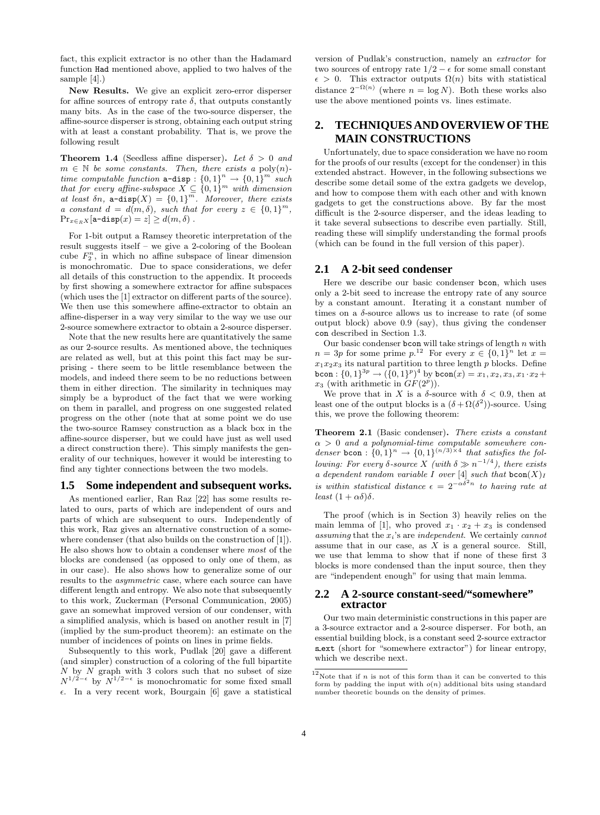fact, this explicit extractor is no other than the Hadamard function Had mentioned above, applied to two halves of the sample [4].)

New Results. We give an explicit zero-error disperser for affine sources of entropy rate  $\delta$ , that outputs constantly many bits. As in the case of the two-source disperser, the affine-source disperser is strong, obtaining each output string with at least a constant probability. That is, we prove the following result

**Theorem 1.4** (Seedless affine disperser). Let  $\delta > 0$  and  $m \in \mathbb{N}$  be some constants. Then, there exists a poly $(n)$ time computable function  $\mathbf{a}$ -disp :  $\{0,1\}^n \to \{0,1\}^m$  such that for every affine-subspace  $X \subseteq \{0,1\}^m$  with dimension at least  $\delta n$ ,  $\mathbf{a}$ -disp $(X) = \{0,1\}^m$ . Moreover, there exists a constant  $d = d(m, \delta)$ , such that for every  $z \in \{0, 1\}^m$ ,  $\Pr_{x \in_R X}[\texttt{a-disp}(x) = z] \ge d(m, \delta)$ .

For 1-bit output a Ramsey theoretic interpretation of the result suggests itself – we give a 2-coloring of the Boolean cube  $F_2^n$ , in which no affine subspace of linear dimension is monochromatic. Due to space considerations, we defer all details of this construction to the appendix. It proceeds by first showing a somewhere extractor for affine subspaces (which uses the [1] extractor on different parts of the source). We then use this somewhere affine-extractor to obtain an affine-disperser in a way very similar to the way we use our 2-source somewhere extractor to obtain a 2-source disperser.

Note that the new results here are quantitatively the same as our 2-source results. As mentioned above, the techniques are related as well, but at this point this fact may be surprising - there seem to be little resemblance between the models, and indeed there seem to be no reductions between them in either direction. The similarity in techniques may simply be a byproduct of the fact that we were working on them in parallel, and progress on one suggested related progress on the other (note that at some point we do use the two-source Ramsey construction as a black box in the affine-source disperser, but we could have just as well used a direct construction there). This simply manifests the generality of our techniques, however it would be interesting to find any tighter connections between the two models.

#### **1.5 Some independent and subsequent works.**

As mentioned earlier, Ran Raz [22] has some results related to ours, parts of which are independent of ours and parts of which are subsequent to ours. Independently of this work, Raz gives an alternative construction of a somewhere condenser (that also builds on the construction of [1]). He also shows how to obtain a condenser where most of the blocks are condensed (as opposed to only one of them, as in our case). He also shows how to generalize some of our results to the *asymmetric* case, where each source can have different length and entropy. We also note that subsequently to this work, Zuckerman (Personal Communication, 2005) gave an somewhat improved version of our condenser, with a simplified analysis, which is based on another result in [7] (implied by the sum-product theorem): an estimate on the number of incidences of points on lines in prime fields.

Subsequently to this work, Pudlak [20] gave a different (and simpler) construction of a coloring of the full bipartite  $N$  by  $N$  graph with 3 colors such that no subset of size  $N^{1/2-\epsilon}$  by  $N^{1/2-\epsilon}$  is monochromatic for some fixed small  $\epsilon$ . In a very recent work, Bourgain [6] gave a statistical version of Pudlak's construction, namely an extractor for two sources of entropy rate  $1/2 - \epsilon$  for some small constant  $\epsilon > 0$ . This extractor outputs  $\Omega(n)$  bits with statistical distance  $2^{-\Omega(n)}$  (where  $n = \log N$ ). Both these works also use the above mentioned points vs. lines estimate.

# **2. TECHNIQUES AND OVERVIEW OF THE MAIN CONSTRUCTIONS**

Unfortunately, due to space consideration we have no room for the proofs of our results (except for the condenser) in this extended abstract. However, in the following subsections we describe some detail some of the extra gadgets we develop, and how to compose them with each other and with known gadgets to get the constructions above. By far the most difficult is the 2-source disperser, and the ideas leading to it take several subsections to describe even partially. Still, reading these will simplify understanding the formal proofs (which can be found in the full version of this paper).

#### **2.1 A 2-bit seed condenser**

Here we describe our basic condenser bcon, which uses only a 2-bit seed to increase the entropy rate of any source by a constant amount. Iterating it a constant number of times on a  $\delta$ -source allows us to increase to rate (of some output block) above 0.9 (say), thus giving the condenser con described in Section 1.3.

Our basic condenser **bcon** will take strings of length  $n$  with  $n = 3p$  for some prime  $p^{12}$ . For every  $x \in \{0,1\}^n$  let  $x =$  $x_1x_2x_3$  its natural partition to three length p blocks. Define bcon :  $\{0,1\}^{3p} \rightarrow (\{0,1\}^p)^4$  by bcon $(x) = x_1, x_2, x_3, x_1 \cdot x_2 +$  $x_3$  (with arithmetic in  $GF(2^p)$ ).

We prove that in X is a  $\delta$ -source with  $\delta$  < 0.9, then at least one of the output blocks is a  $(\delta + \Omega(\delta^2))$ -source. Using this, we prove the following theorem:

Theorem 2.1 (Basic condenser). There exists a constant  $\alpha > 0$  and a polynomial-time computable somewhere condenser bcon :  $\{0,1\}^n \rightarrow \{0,1\}^{(n/3)\times 4}$  that satisfies the following: For every  $\delta$ -source X (with  $\delta \gg n^{-1/4}$ ), there exists a dependent random variable I over [4] such that  $\text{bcon}(X)_I$ is within statistical distance  $\epsilon = 2^{-\alpha \delta^2 n}$  to having rate at least  $(1 + \alpha \delta)\delta$ .

The proof (which is in Section 3) heavily relies on the main lemma of [1], who proved  $x_1 \cdot x_2 + x_3$  is condensed assuming that the  $x_i$ 's are independent. We certainly cannot assume that in our case, as  $X$  is a general source. Still, we use that lemma to show that if none of these first 3 blocks is more condensed than the input source, then they are "independent enough" for using that main lemma.

#### **2.2 A 2-source constant-seed/"somewhere" extractor**

Our two main deterministic constructions in this paper are a 3-source extractor and a 2-source disperser. For both, an essential building block, is a constant seed 2-source extractor s ext (short for "somewhere extractor") for linear entropy, which we describe next.

 $12$ Note that if *n* is not of this form than it can be converted to this form by padding the input with  $o(n)$  additional bits using standard number theoretic bounds on the density of primes.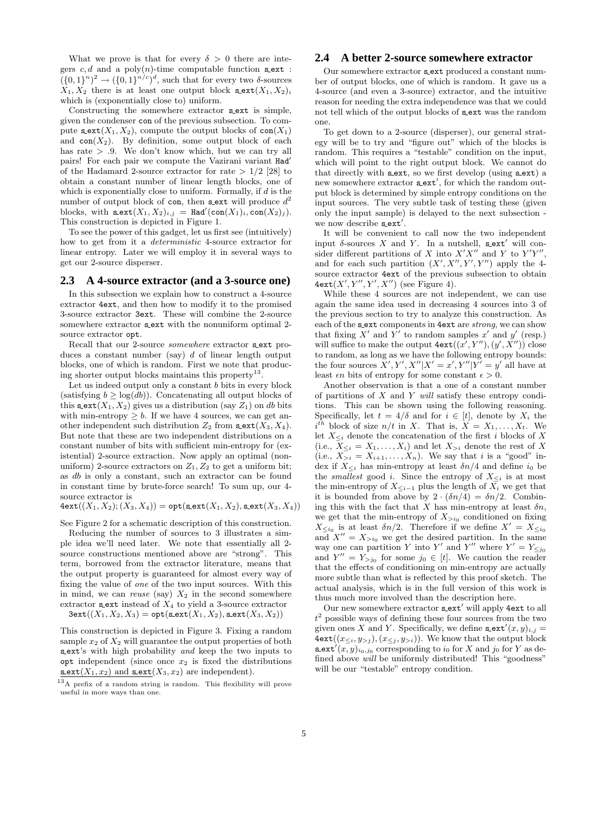What we prove is that for every  $\delta > 0$  there are integers  $c, d$  and a poly $(n)$ -time computable function sext :  $({0,1}^n)^2 \rightarrow ({0,1}^n)^{c})^d$ , such that for every two  $\delta$ -sources  $X_1, X_2$  there is at least one output block  $\texttt{sext}(X_1, X_2)_i$ which is (exponentially close to) uniform.

Constructing the somewhere extractor sext is simple, given the condenser con of the previous subsection. To compute s ext $(X_1, X_2)$ , compute the output blocks of con $(X_1)$ and  $con(X_2)$ . By definition, some output block of each has rate  $> .9$ . We don't know which, but we can try all pairs! For each pair we compute the Vazirani variant Had' of the Hadamard 2-source extractor for rate  $> 1/2$  [28] to obtain a constant number of linear length blocks, one of which is exponentially close to uniform. Formally, if  $d$  is the number of output block of con, then sext will produce  $d^2$ blocks, with  $\texttt{sext}(X_1, X_2)_{i,j} = \texttt{Had}'(\texttt{con}(X_1)_i, \texttt{con}(X_2)_j).$ This construction is depicted in Figure 1.

To see the power of this gadget, let us first see (intuitively) how to get from it a deterministic 4-source extractor for linear entropy. Later we will employ it in several ways to get our 2-source disperser.

#### **2.3 A 4-source extractor (and a 3-source one)**

In this subsection we explain how to construct a 4-source extractor 4ext, and then how to modify it to the promised 3-source extractor 3ext. These will combine the 2-source somewhere extractor sext with the nonuniform optimal 2source extractor opt.

Recall that our 2-source *somewhere* extractor sext produces a constant number (say)  $d$  of linear length output blocks, one of which is random. First we note that producing shorter output blocks maintains this property<sup>13</sup>.

Let us indeed output only a constant  $b$  bits in every block (satisfying  $b \geq \log(db)$ ). Concatenating all output blocks of this  $\texttt{sext}(X_1, X_2)$  gives us a distribution (say  $Z_1$ ) on db bits with min-entropy  $\geq b$ . If we have 4 sources, we can get another independent such distribution  $Z_2$  from  $\texttt{sext}(X_3, X_4)$ . But note that these are two independent distributions on a constant number of bits with sufficient min-entropy for (existential) 2-source extraction. Now apply an optimal (nonuniform) 2-source extractors on  $Z_1, Z_2$  to get a uniform bit; as db is only a constant, such an extractor can be found in constant time by brute-force search! To sum up, our 4 source extractor is

 $4$ ext $((X_1, X_2); (X_3, X_4)) =$  opt(s\_ext $(X_1, X_2)$ , s\_ext $(X_3, X_4))$ 

See Figure 2 for a schematic description of this construction.

Reducing the number of sources to 3 illustrates a simple idea we'll need later. We note that essentially all 2 source constructions mentioned above are "strong". This term, borrowed from the extractor literature, means that the output property is guaranteed for almost every way of fixing the value of one of the two input sources. With this in mind, we can reuse (say)  $X_2$  in the second somewhere extractor s ext instead of  $X_4$  to yield a 3-source extractor

 $3ext((X_1, X_2, X_3) = opt(sext(X_1, X_2), sext(X_3, X_2))$ 

This construction is depicted in Figure 3. Fixing a random sample  $x_2$  of  $X_2$  will guarantee the output properties of both s ext's with high probability and keep the two inputs to opt independent (since once  $x_2$  is fixed the distributions  $\texttt{scxt}(X_1, x_2)$  and  $\texttt{scxt}(X_3, x_2)$  are independent).

#### **2.4 A better 2-source somewhere extractor**

Our somewhere extractor s ext produced a constant number of output blocks, one of which is random. It gave us a 4-source (and even a 3-source) extractor, and the intuitive reason for needing the extra independence was that we could not tell which of the output blocks of sext was the random one.

To get down to a 2-source (disperser), our general strategy will be to try and "figure out" which of the blocks is random. This requires a "testable" condition on the input, which will point to the right output block. We cannot do that directly with  $s$  ext, so we first develop (using  $s$  ext) a new somewhere extractor  $s$ <sub>-ext</sub>', for which the random output block is determined by simple entropy conditions on the input sources. The very subtle task of testing these (given only the input sample) is delayed to the next subsection we now describe sext'.

It will be convenient to call now the two independent input  $\delta$ -sources X and Y. In a nutshell, sext' will consider different partitions of X into  $X'X''$  and Y to  $Y'Y''$ , and for each such partition  $(X', X'', Y', Y'')$  apply the 4source extractor 4ext of the previous subsection to obtain  $4$ ext $(X', Y'', Y', X'')$  (see Figure 4).

While these 4 sources are not independent, we can use again the same idea used in decreasing 4 sources into 3 of the previous section to try to analyze this construction. As each of the sext components in 4ext are *strong*, we can show that fixing  $X'$  and  $Y'$  to random samples  $x'$  and  $y'$  (resp.) will suffice to make the output  $4 \text{ext}((x', Y''), (y', X''))$  close to random, as long as we have the following entropy bounds: the four sources  $X', Y', X''|X' = x', Y''|Y' = y'$  all have at least  $\epsilon n$  bits of entropy for some constant  $\epsilon > 0$ .

Another observation is that a one of a constant number of partitions of  $X$  and  $Y$  will satisfy these entropy conditions. This can be shown using the following reasoning. Specifically, let  $t = 4/\delta$  and for  $i \in [t]$ , denote by  $X_i$  the  $i^{th}$  block of size  $n/t$  in X. That is,  $X = X_1, \ldots, X_t$ . We let  $X_{\leq i}$  denote the concatenation of the first i blocks of X (i.e.,  $X_{\leq i} = X_1, \ldots, X_i$ ) and let  $X_{>i}$  denote the rest of X (i.e.,  $X_{>i} = X_{i+1}, \ldots, X_n$ ). We say that i is a "good" index if  $X_{\leq i}$  has min-entropy at least  $\delta n/4$  and define  $i_0$  be the *smallest* good *i*. Since the entropy of  $X_{\leq i}$  is at most the min-entropy of  $X_{\leq i-1}$  plus the length of  $X_i$  we get that it is bounded from above by  $2 \cdot (\delta n/4) = \delta n/2$ . Combining this with the fact that  $X$  has min-entropy at least  $\delta n$ , we get that the min-entropy of  $X_{\geq i_0}$  conditioned on fixing  $X_{\leq i_0}$  is at least  $\delta n/2$ . Therefore if we define  $X' = X_{\leq i_0}$ and  $X'' = X_{\geq i_0}$  we get the desired partition. In the same way one can partition Y into Y' and Y'' where  $Y' = Y_{\leq j_0}$ and  $Y'' = Y_{>j_0}$  for some  $j_0 \in [t]$ . We caution the reader that the effects of conditioning on min-entropy are actually more subtle than what is reflected by this proof sketch. The actual analysis, which is in the full version of this work is thus much more involved than the description here.

Our new somewhere extractor sext' will apply 4ext to all  $t<sup>2</sup>$  possible ways of defining these four sources from the two given ones X and Y. Specifically, we define  $\texttt{sext}'(x, y)_{i,j} =$  $4ext((x_{\leq i}, y_{\geq j}), (x_{\leq j}, y_{\geq i}))$ . We know that the output block s ext<sup>'</sup> $(x, y)$ <sub>i0,j0</sub> corresponding to i<sub>0</sub> for X and j<sub>0</sub> for Y as defined above will be uniformly distributed! This "goodness" will be our "testable" entropy condition.

 $^{13}$ A prefix of a random string is random. This flexibility will prove useful in more ways than one.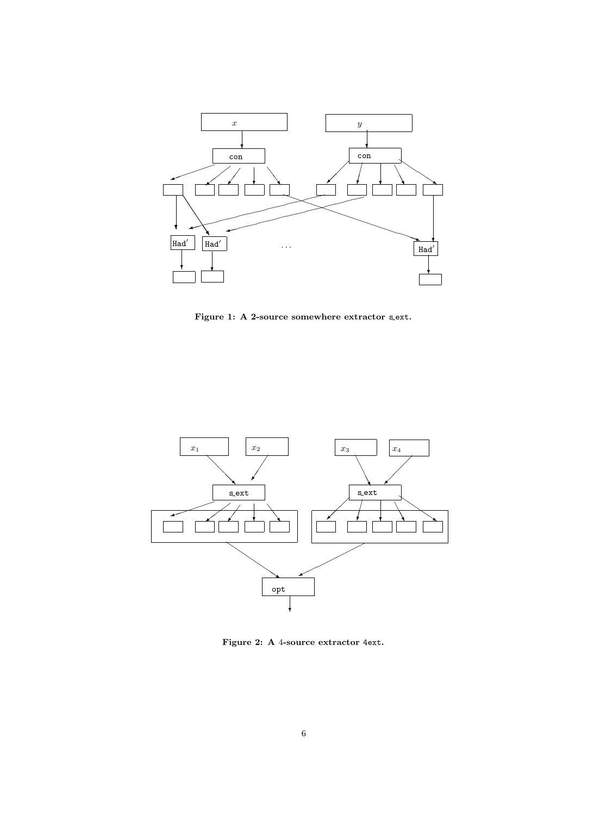

Figure 1: A 2-source somewhere extractor s.ext.



Figure 2: A 4-source extractor 4ext.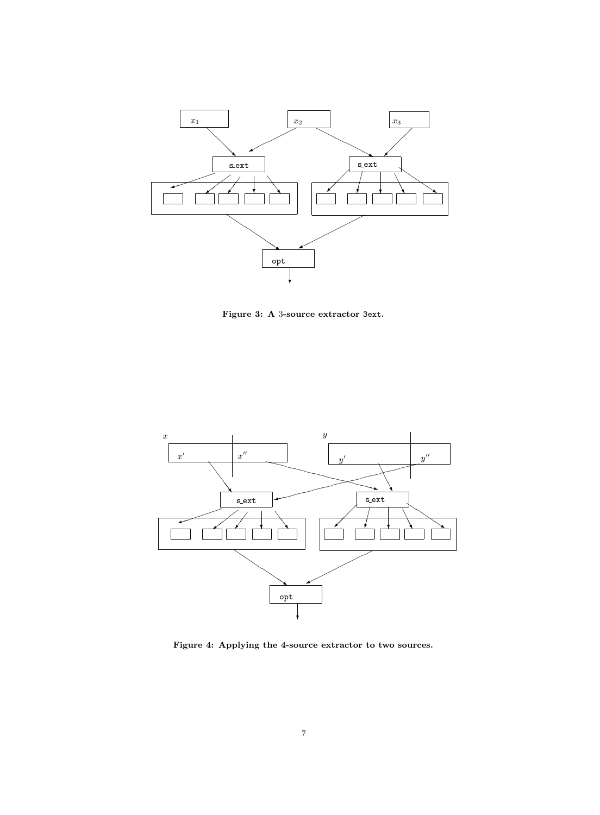

Figure 3: A 3-source extractor 3ext.



Figure 4: Applying the 4-source extractor to two sources.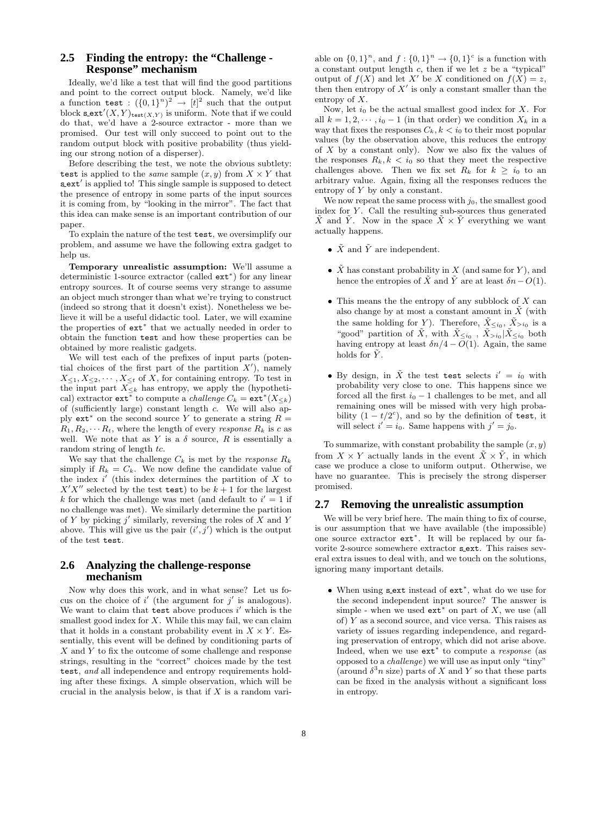#### **2.5 Finding the entropy: the "Challenge - Response" mechanism**

Ideally, we'd like a test that will find the good partitions and point to the correct output block. Namely, we'd like a function test :  $({0,1})^n$ <sup>2</sup>  $\rightarrow$   $[t]^2$  such that the output block  $\texttt{sext}'(X, Y)_{\texttt{test}(X, Y)}$  is uniform. Note that if we could do that, we'd have a 2-source extractor - more than we promised. Our test will only succeed to point out to the random output block with positive probability (thus yielding our strong notion of a disperser).

Before describing the test, we note the obvious subtlety: test is applied to the *same* sample  $(x, y)$  from  $X \times Y$  that s\_ext' is applied to! This single sample is supposed to detect the presence of entropy in some parts of the input sources it is coming from, by "looking in the mirror". The fact that this idea can make sense is an important contribution of our paper.

To explain the nature of the test test, we oversimplify our problem, and assume we have the following extra gadget to help us.

Temporary unrealistic assumption: We'll assume a deterministic 1-source extractor (called ext<sup>∗</sup> ) for any linear entropy sources. It of course seems very strange to assume an object much stronger than what we're trying to construct (indeed so strong that it doesn't exist). Nonetheless we believe it will be a useful didactic tool. Later, we will examine the properties of ext<sup>∗</sup> that we actually needed in order to obtain the function test and how these properties can be obtained by more realistic gadgets.

We will test each of the prefixes of input parts (potential choices of the first part of the partition  $X'$ ), namely  $X_{\leq 1}, X_{\leq 2}, \cdots, X_{\leq t}$  of X, for containing entropy. To test in the input part  $X_{\leq k}$  has entropy, we apply the (hypothetical) extractor  $ext{ext}^*$  to compute a *challenge*  $C_k = \text{ext}^*(X_{\leq k})$ of (sufficiently large) constant length c. We will also apply  $ext*$  on the second source Y to generate a string  $R =$  $R_1, R_2, \cdots R_t$ , where the length of every response  $R_k$  is c as well. We note that as Y is a  $\delta$  source, R is essentially a random string of length tc.

We say that the challenge  $C_k$  is met by the *response*  $R_k$ simply if  $R_k = C_k$ . We now define the candidate value of the index  $i'$  (this index determines the partition of X to  $X'X''$  selected by the test test) to be  $k+1$  for the largest k for which the challenge was met (and default to  $i' = 1$  if no challenge was met). We similarly determine the partition of Y by picking  $j'$  similarly, reversing the roles of X and Y above. This will give us the pair  $(i', j')$  which is the output of the test test.

#### **2.6 Analyzing the challenge-response mechanism**

Now why does this work, and in what sense? Let us focus on the choice of  $i'$  (the argument for  $j'$  is analogous). We want to claim that  $test$  above produces  $i'$  which is the smallest good index for  $X$ . While this may fail, we can claim that it holds in a constant probability event in  $X \times Y$ . Essentially, this event will be defined by conditioning parts of  $X$  and  $Y$  to fix the outcome of some challenge and response strings, resulting in the "correct" choices made by the test test, and all independence and entropy requirements holding after these fixings. A simple observation, which will be crucial in the analysis below, is that if  $X$  is a random variable on  $\{0,1\}^n$ , and  $f: \{0,1\}^n \to \{0,1\}^c$  is a function with a constant output length  $c$ , then if we let  $z$  be a "typical" output of  $f(X)$  and let X' be X conditioned on  $f(X) = z$ , then then entropy of  $X'$  is only a constant smaller than the entropy of X.

Now, let  $i_0$  be the actual smallest good index for  $X$ . For all  $k = 1, 2, \dots, i_0 - 1$  (in that order) we condition  $X_k$  in a way that fixes the responses  $C_k, k \lt i_0$  to their most popular values (by the observation above, this reduces the entropy of  $X$  by a constant only). Now we also fix the values of the responses  $R_k, k \lt i_0$  so that they meet the respective challenges above. Then we fix set  $R_k$  for  $k \geq i_0$  to an arbitrary value. Again, fixing all the responses reduces the entropy of Y by only a constant.

We now repeat the same process with  $j_0$ , the smallest good index for  $Y$ . Call the resulting sub-sources thus generated  $\tilde{X}$  and  $\tilde{Y}$ . Now in the space  $\tilde{X} \times \tilde{Y}$  everything we want actually happens.

- $\tilde{X}$  and  $\tilde{Y}$  are independent.
- $\tilde{X}$  has constant probability in X (and same for Y), and hence the entropies of  $\tilde{X}$  and  $\tilde{Y}$  are at least  $\delta n-O(1)$ .
- This means the the entropy of any subblock of  $X$  can also change by at most a constant amount in  $X$  (with the same holding for Y). Therefore,  $\tilde{X}_{\leq i_0}$ ,  $\tilde{X}_{>i_0}$  is a "good" partition of  $\tilde{X}$ , with  $\tilde{X}_{\leq i_0}$ ,  $\tilde{X}_{>i_0}|\tilde{X}_{\leq i_0}$  both having entropy at least  $\delta n/4 - O(1)$ . Again, the same holds for  $\tilde{Y}$ .
- By design, in  $\tilde{X}$  the test test selects  $i' = i_0$  with probability very close to one. This happens since we forced all the first  $i_0 - 1$  challenges to be met, and all remaining ones will be missed with very high probability  $(1 - t/2^{c})$ , and so by the definition of test, it will select  $i' = i_0$ . Same happens with  $j' = j_0$ .

To summarize, with constant probability the sample  $(x, y)$ from  $X \times Y$  actually lands in the event  $\tilde{X} \times \tilde{Y}$ , in which case we produce a close to uniform output. Otherwise, we have no guarantee. This is precisely the strong disperser promised.

### **2.7 Removing the unrealistic assumption**

We will be very brief here. The main thing to fix of course, is our assumption that we have available (the impossible) one source extractor ext<sup>∗</sup> . It will be replaced by our favorite 2-source somewhere extractor sext. This raises several extra issues to deal with, and we touch on the solutions, ignoring many important details.

• When using s ext instead of ext<sup>∗</sup> , what do we use for the second independent input source? The answer is simple - when we used  $ext*$  on part of X, we use (all of)  $Y$  as a second source, and vice versa. This raises as variety of issues regarding independence, and regarding preservation of entropy, which did not arise above. Indeed, when we use ext<sup>∗</sup> to compute a response (as opposed to a challenge) we will use as input only "tiny" (around  $\delta^3 n$  size) parts of X and Y so that these parts can be fixed in the analysis without a significant loss in entropy.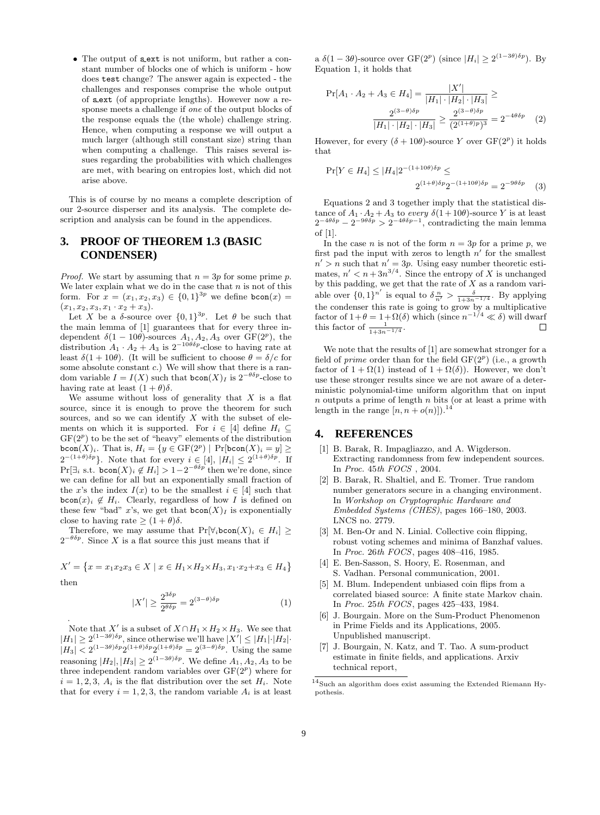• The output of sext is not uniform, but rather a constant number of blocks one of which is uniform - how does test change? The answer again is expected - the challenges and responses comprise the whole output of s ext (of appropriate lengths). However now a response meets a challenge if one of the output blocks of the response equals the (the whole) challenge string. Hence, when computing a response we will output a much larger (although still constant size) string than when computing a challenge. This raises several issues regarding the probabilities with which challenges are met, with bearing on entropies lost, which did not arise above.

This is of course by no means a complete description of our 2-source disperser and its analysis. The complete description and analysis can be found in the appendices.

## **3. PROOF OF THEOREM 1.3 (BASIC CONDENSER)**

*Proof.* We start by assuming that  $n = 3p$  for some prime p. We later explain what we do in the case that  $n$  is not of this form. For  $x = (x_1, x_2, x_3) \in \{0, 1\}^{3p}$  we define  $\text{bcon}(x) =$  $(x_1, x_2, x_3, x_1 \cdot x_2 + x_3).$ 

Let X be a  $\delta$ -source over  $\{0,1\}^{3p}$ . Let  $\theta$  be such that the main lemma of [1] guarantees that for every three independent  $\delta(1 - 10\theta)$ -sources  $A_1, A_2, A_3$  over  $GF(2^p)$ , the distribution  $A_1 \cdot A_2 + A_3$  is  $2^{-10\theta\delta p}$ -close to having rate at least  $\delta(1+10\theta)$ . (It will be sufficient to choose  $\theta = \delta/c$  for some absolute constant  $c$ .) We will show that there is a random variable  $I = I(X)$  such that  $\mathbf{bcon}(X)_I$  is  $2^{-\theta \delta p}$ -close to having rate at least  $(1 + \theta)\delta$ .

We assume without loss of generality that  $X$  is a flat source, since it is enough to prove the theorem for such sources, and so we can identify  $X$  with the subset of elements on which it is supported. For  $i \in [4]$  define  $H_i \subseteq$  $GF(2<sup>p</sup>)$  to be the set of "heavy" elements of the distribution bcon $(X)_i$ . That is,  $H_i = \{ y \in \mathrm{GF}(2^p) \mid \mathrm{Pr}[\text{bcon}(X)_i = y] \geq 1 \}$  $2^{-(1+\theta)\delta p}$ . Note that for every  $i \in [4]$ ,  $|H_i| \leq 2^{(1+\theta)\delta p}$ . If  $Pr[\exists_i \text{ s.t. } \text{bcon}(X)_i \notin H_i] > 1 - 2^{-\theta \delta p}$  then we're done, since we can define for all but an exponentially small fraction of the x's the index  $I(x)$  to be the smallest  $i \in [4]$  such that  $\mathbf{bcon}(x)_i \notin H_i$ . Clearly, regardless of how I is defined on these few "bad" x's, we get that  $\mathsf{bcon}(X)_I$  is exponentially close to having rate  $\geq (1 + \theta)\delta$ .

Therefore, we may assume that  $Pr[\forall_i\text{bcon}(X)_i \in H_i] \geq$  $2^{-\theta\delta p}$ . Since X is a flat source this just means that if

$$
X' = \{ x = x_1 x_2 x_3 \in X \mid x \in H_1 \times H_2 \times H_3, x_1 \cdot x_2 + x_3 \in H_4 \}
$$
  
then

then

.

$$
|X'| \ge \frac{2^{3\delta p}}{2^{\theta \delta p}} = 2^{(3-\theta)\delta p} \tag{1}
$$

Note that X' is a subset of  $X \cap H_1 \times H_2 \times H_3$ . We see that  $|H_1| \geq 2^{(1-3\theta)\delta p}$ , since otherwise we'll have  $|X'| \leq |H_1| \cdot |H_2|$ .  $|H_3| < 2^{(1-3\theta)\delta p} 2^{(1+\theta)\delta p} 2^{(1+\theta)\delta p} = 2^{(3-\theta)\delta p}$ . Using the same reasoning  $|H_2|, |H_3| \geq 2^{(1-3\theta)\delta p}$ . We define  $A_1, A_2, A_3$  to be three independent random variables over  $GF(2<sup>p</sup>)$  where for  $i = 1, 2, 3, A_i$  is the flat distribution over the set  $H_i$ . Note that for every  $i = 1, 2, 3$ , the random variable  $A_i$  is at least a  $\delta(1-3\theta)$ -source over  $GF(2^p)$  (since  $|H_i| \geq 2^{(1-3\theta)\delta p}$ ). By Equation 1, it holds that

$$
\Pr[A_1 \cdot A_2 + A_3 \in H_4] = \frac{|X'|}{|H_1| \cdot |H_2| \cdot |H_3|} \ge
$$

$$
\frac{2^{(3-\theta)\delta p}}{|H_1| \cdot |H_2| \cdot |H_3|} \ge \frac{2^{(3-\theta)\delta p}}{(2^{(1+\theta)p})^3} = 2^{-4\theta\delta p} \quad (2)
$$

However, for every  $(\delta + 10\theta)$ -source Y over  $GF(2^p)$  it holds that

$$
\Pr[Y \in H_4] \le |H_4| 2^{-(1+10\theta)\delta p} \le
$$
  
 
$$
2^{(1+\theta)\delta p} 2^{-(1+10\theta)\delta p} = 2^{-9\theta\delta p} \quad (3)
$$

Equations 2 and 3 together imply that the statistical distance of  $A_1 \cdot A_2 + A_3$  to every  $\delta(1+10\theta)$ -source Y is at least  $2^{-4\theta\delta p} - 2^{-9\theta\delta p} > 2^{-4\theta\delta p - 1}$ , contradicting the main lemma of [1].

In the case *n* is not of the form  $n = 3p$  for a prime *p*, we first pad the input with zeros to length  $n'$  for the smallest  $n' > n$  such that  $n' = 3p$ . Using easy number theoretic estimates,  $n' < n + 3n^{3/4}$ . Since the entropy of X is unchanged by this padding, we get that the rate of  $X$  as a random variable over  $\{0,1\}^{n'}$  is equal to  $\delta \frac{n}{n'} > \frac{\delta}{1+3n^{-1/4}}$ . By applying the condenser this rate is going to grow by a multiplicative factor of  $1+\theta = 1+\Omega(\delta)$  which (since  $n^{-1/4} \ll \delta$ ) will dwarf this factor of  $\frac{1}{1+3n^{-1/4}}$ .  $\Box$ 

We note that the results of [1] are somewhat stronger for a field of *prime* order than for the field  $GF(2^p)$  (i.e., a growth factor of  $1 + \Omega(1)$  instead of  $1 + \Omega(\delta)$ . However, we don't use these stronger results since we are not aware of a deterministic polynomial-time uniform algorithm that on input  $n$  outputs a prime of length  $n$  bits (or at least a prime with length in the range  $[n, n+o(n)]$ .<sup>14</sup>

# **4. REFERENCES**

- [1] B. Barak, R. Impagliazzo, and A. Wigderson. Extracting randomness from few independent sources. In Proc. 45th FOCS , 2004.
- [2] B. Barak, R. Shaltiel, and E. Tromer. True random number generators secure in a changing environment. In Workshop on Cryptographic Hardware and Embedded Systems (CHES), pages 166–180, 2003. LNCS no. 2779.
- [3] M. Ben-Or and N. Linial. Collective coin flipping, robust voting schemes and minima of Banzhaf values. In Proc. 26th FOCS, pages 408–416, 1985.
- [4] E. Ben-Sasson, S. Hoory, E. Rosenman, and S. Vadhan. Personal communication, 2001.
- [5] M. Blum. Independent unbiased coin flips from a correlated biased source: A finite state Markov chain. In Proc. 25th FOCS, pages 425–433, 1984.
- [6] J. Bourgain. More on the Sum-Product Phenomenon in Prime Fields and its Applications, 2005. Unpublished manuscript.
- [7] J. Bourgain, N. Katz, and T. Tao. A sum-product estimate in finite fields, and applications. Arxiv technical report,

 $^{14}\rm{Such}$  an algorithm does exist assuming the Extended Riemann Hypothesis.